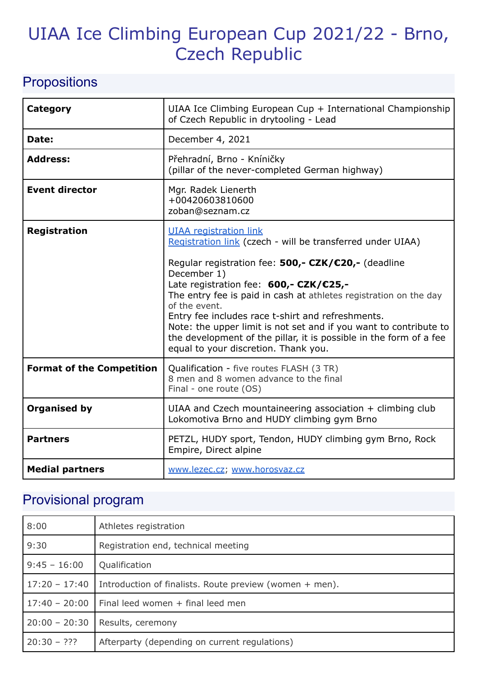# UIAA Ice Climbing European Cup 2021/22 - Brno, Czech Republic

## **Propositions**

| <b>Category</b>                  | UIAA Ice Climbing European Cup + International Championship<br>of Czech Republic in drytooling - Lead                                                                                                                                                                                                                                                                                                                                                                                                                                     |
|----------------------------------|-------------------------------------------------------------------------------------------------------------------------------------------------------------------------------------------------------------------------------------------------------------------------------------------------------------------------------------------------------------------------------------------------------------------------------------------------------------------------------------------------------------------------------------------|
| Date:                            | December 4, 2021                                                                                                                                                                                                                                                                                                                                                                                                                                                                                                                          |
| <b>Address:</b>                  | Přehradní, Brno - Kníničky<br>(pillar of the never-completed German highway)                                                                                                                                                                                                                                                                                                                                                                                                                                                              |
| <b>Event director</b>            | Mgr. Radek Lienerth<br>+00420603810600<br>zoban@seznam.cz                                                                                                                                                                                                                                                                                                                                                                                                                                                                                 |
| <b>Registration</b>              | <b>UIAA</b> registration link<br>Registration link (czech - will be transferred under UIAA)<br>Regular registration fee: 500,- CZK/€20,- (deadline<br>December 1)<br>Late registration fee: 600,- CZK/€25,-<br>The entry fee is paid in cash at athletes registration on the day<br>of the event.<br>Entry fee includes race t-shirt and refreshments.<br>Note: the upper limit is not set and if you want to contribute to<br>the development of the pillar, it is possible in the form of a fee<br>equal to your discretion. Thank you. |
| <b>Format of the Competition</b> | Qualification - five routes FLASH (3 TR)<br>8 men and 8 women advance to the final<br>Final - one route (OS)                                                                                                                                                                                                                                                                                                                                                                                                                              |
| <b>Organised by</b>              | UIAA and Czech mountaineering association + climbing club<br>Lokomotiva Brno and HUDY climbing gym Brno                                                                                                                                                                                                                                                                                                                                                                                                                                   |
| <b>Partners</b>                  | PETZL, HUDY sport, Tendon, HUDY climbing gym Brno, Rock<br>Empire, Direct alpine                                                                                                                                                                                                                                                                                                                                                                                                                                                          |
| <b>Medial partners</b>           | www.lezec.cz; www.horosvaz.cz                                                                                                                                                                                                                                                                                                                                                                                                                                                                                                             |

# Provisional program

| 8:00            | Athletes registration                                   |
|-----------------|---------------------------------------------------------|
| 9:30            | Registration end, technical meeting                     |
| $9:45 - 16:00$  | Qualification                                           |
| $17:20 - 17:40$ | Introduction of finalists. Route preview (women + men). |
|                 | $17:40 - 20:00$   Final leed women + final leed men     |
| $20:00 - 20:30$ | Results, ceremony                                       |
| $20:30 - ???$   | Afterparty (depending on current regulations)           |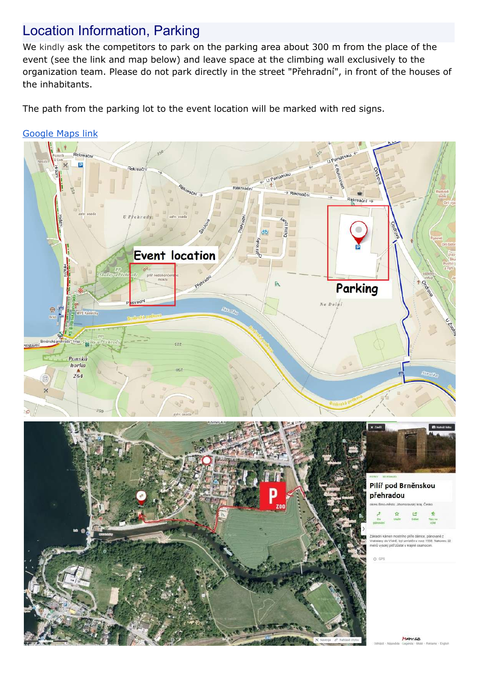#### Location Information, Parking

We kindly ask the competitors to park on the parking area about 300 m from the place of the event (see the link and map below) and leave space at the climbing wall exclusively to the organization team. Please do not park directly in the street "Přehradní", in front of the houses of the inhabitants.

The path from the parking lot to the event location will be marked with red signs.

#### [Google](https://goo.gl/maps/kBq7FRqcvB3hDUPg6) Maps link